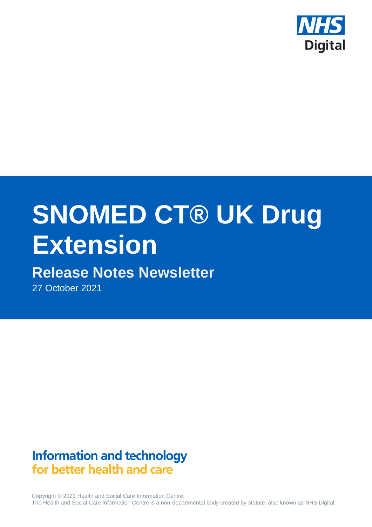

# **SNOMED CT® UK Drug Extension**

# **Release Notes Newsletter**

27 October 2021

# **Information and technology** for better health and care

Copyright © 2021 Health and Social Care Information Centre. The Health and Social Care Information Centre is a non-departmental body created by statute, also known as NHS Digital.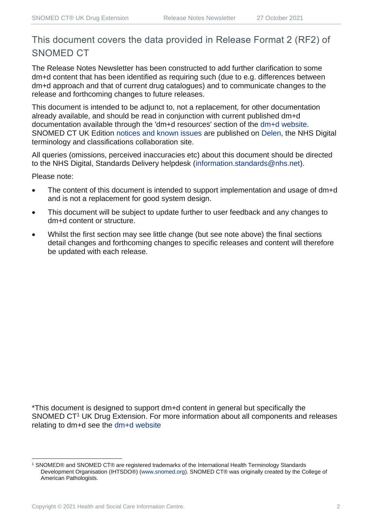## This document covers the data provided in Release Format 2 (RF2) of SNOMED CT

The Release Notes Newsletter has been constructed to add further clarification to some dm+d content that has been identified as requiring such (due to e.g. differences between dm+d approach and that of current drug catalogues) and to communicate changes to the release and forthcoming changes to future releases.

This document is intended to be adjunct to, not a replacement, for other documentation already available, and should be read in conjunction with current published dm+d documentation available through the 'dm+d resources' section of the [dm+d website.](https://www.nhsbsa.nhs.uk/pharmacies-gp-practices-and-appliance-contractors/dictionary-medicines-and-devices-dmd) SNOMED CT UK Edition [notices and known issues](https://hscic.kahootz.com/connect.ti/t_c_home/view?objectId=14224752) are published on [Delen,](https://hscic.kahootz.com/connect.ti/t_c_home) the NHS Digital terminology and classifications collaboration site.

All queries (omissions, perceived inaccuracies etc) about this document should be directed to the NHS Digital, Standards Delivery helpdesk [\(information.standards@nhs.net\)](mailto:information.standards@nhs.net).

Please note:

- The content of this document is intended to support implementation and usage of dm+d and is not a replacement for good system design.
- This document will be subject to update further to user feedback and any changes to dm+d content or structure.
- Whilst the first section may see little change (but see note above) the final sections detail changes and forthcoming changes to specific releases and content will therefore be updated with each release.

\*This document is designed to support dm+d content in general but specifically the SNOMED CT<sup>1</sup> UK Drug Extension. For more information about all components and releases relating to dm+d see the [dm+d website](https://www.nhsbsa.nhs.uk/pharmacies-gp-practices-and-appliance-contractors/dictionary-medicines-and-devices-dmd)

<sup>1</sup> SNOMED® and SNOMED CT® are registered trademarks of the International Health Terminology Standards Development Organisation (IHTSDO®) [\(www.snomed.org\)](http://www.snomed.org/). SNOMED CT® was originally created by the College of American Pathologists.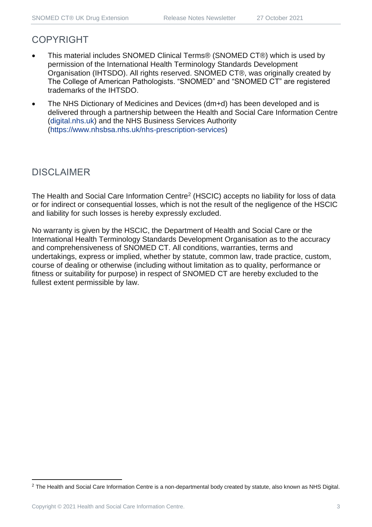### COPYRIGHT

- This material includes SNOMED Clinical Terms® (SNOMED CT®) which is used by permission of the International Health Terminology Standards Development Organisation (IHTSDO). All rights reserved. SNOMED CT®, was originally created by The College of American Pathologists. "SNOMED" and "SNOMED CT" are registered trademarks of the IHTSDO.
- The NHS Dictionary of Medicines and Devices (dm+d) has been developed and is delivered through a partnership between the Health and Social Care Information Centre [\(digital.nhs.uk\)](https://digital.nhs.uk/) and the NHS Business Services Authority [\(https://www.nhsbsa.nhs.uk/nhs-prescription-services\)](https://www.nhsbsa.nhs.uk/nhs-prescription-services)

## DISCLAIMER

The Health and Social Care Information Centre<sup>2</sup> (HSCIC) accepts no liability for loss of data or for indirect or consequential losses, which is not the result of the negligence of the HSCIC and liability for such losses is hereby expressly excluded.

No warranty is given by the HSCIC, the Department of Health and Social Care or the International Health Terminology Standards Development Organisation as to the accuracy and comprehensiveness of SNOMED CT. All conditions, warranties, terms and undertakings, express or implied, whether by statute, common law, trade practice, custom, course of dealing or otherwise (including without limitation as to quality, performance or fitness or suitability for purpose) in respect of SNOMED CT are hereby excluded to the fullest extent permissible by law.

<sup>&</sup>lt;sup>2</sup> The Health and Social Care Information Centre is a non-departmental body created by statute, also known as NHS Digital.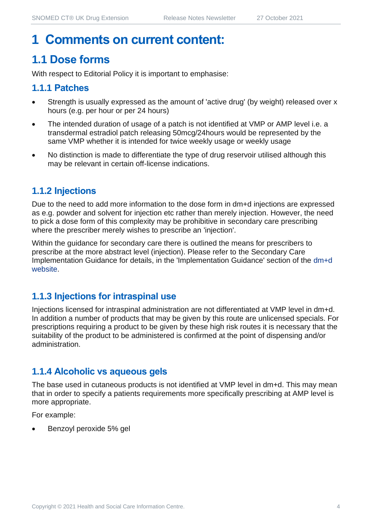## **1 Comments on current content:**

## **1.1 Dose forms**

With respect to Editorial Policy it is important to emphasise:

#### **1.1.1 Patches**

- Strength is usually expressed as the amount of 'active drug' (by weight) released over x hours (e.g. per hour or per 24 hours)
- The intended duration of usage of a patch is not identified at VMP or AMP level i.e. a transdermal estradiol patch releasing 50mcg/24hours would be represented by the same VMP whether it is intended for twice weekly usage or weekly usage
- No distinction is made to differentiate the type of drug reservoir utilised although this may be relevant in certain off-license indications.

#### **1.1.2 Injections**

Due to the need to add more information to the dose form in dm+d injections are expressed as e.g. powder and solvent for injection etc rather than merely injection. However, the need to pick a dose form of this complexity may be prohibitive in secondary care prescribing where the prescriber merely wishes to prescribe an 'injection'.

Within the guidance for secondary care there is outlined the means for prescribers to prescribe at the more abstract level (injection). Please refer to the Secondary Care Implementation Guidance for details, in the 'Implementation Guidance' section of the [dm+d](https://www.nhsbsa.nhs.uk/pharmacies-gp-practices-and-appliance-contractors/dictionary-medicines-and-devices-dmd)  [website.](https://www.nhsbsa.nhs.uk/pharmacies-gp-practices-and-appliance-contractors/dictionary-medicines-and-devices-dmd)

#### **1.1.3 Injections for intraspinal use**

Injections licensed for intraspinal administration are not differentiated at VMP level in dm+d. In addition a number of products that may be given by this route are unlicensed specials. For prescriptions requiring a product to be given by these high risk routes it is necessary that the suitability of the product to be administered is confirmed at the point of dispensing and/or administration.

#### **1.1.4 Alcoholic vs aqueous gels**

The base used in cutaneous products is not identified at VMP level in dm+d. This may mean that in order to specify a patients requirements more specifically prescribing at AMP level is more appropriate.

For example:

• Benzoyl peroxide 5% gel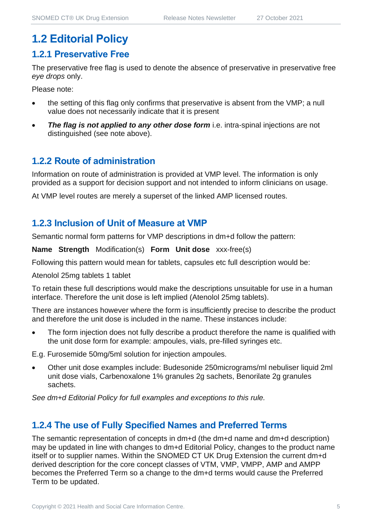## **1.2 Editorial Policy**

#### **1.2.1 Preservative Free**

The preservative free flag is used to denote the absence of preservative in preservative free *eye drops* only.

Please note:

- the setting of this flag only confirms that preservative is absent from the VMP; a null value does not necessarily indicate that it is present
- **The flag is not applied to any other dose form** i.e. intra-spinal injections are not distinguished (see note above).

#### **1.2.2 Route of administration**

Information on route of administration is provided at VMP level. The information is only provided as a support for decision support and not intended to inform clinicians on usage.

At VMP level routes are merely a superset of the linked AMP licensed routes.

#### **1.2.3 Inclusion of Unit of Measure at VMP**

Semantic normal form patterns for VMP descriptions in dm+d follow the pattern:

**Name Strength** Modification(s) **Form Unit dose** xxx-free(s)

Following this pattern would mean for tablets, capsules etc full description would be:

Atenolol 25mg tablets 1 tablet

To retain these full descriptions would make the descriptions unsuitable for use in a human interface. Therefore the unit dose is left implied (Atenolol 25mg tablets).

There are instances however where the form is insufficiently precise to describe the product and therefore the unit dose is included in the name. These instances include:

The form injection does not fully describe a product therefore the name is qualified with the unit dose form for example: ampoules, vials, pre-filled syringes etc.

E.g. Furosemide 50mg/5ml solution for injection ampoules.

• Other unit dose examples include: Budesonide 250micrograms/ml nebuliser liquid 2ml unit dose vials, Carbenoxalone 1% granules 2g sachets, Benorilate 2g granules sachets.

*See dm+d Editorial Policy for full examples and exceptions to this rule.*

#### **1.2.4 The use of Fully Specified Names and Preferred Terms**

The semantic representation of concepts in dm+d (the dm+d name and dm+d description) may be updated in line with changes to dm+d Editorial Policy, changes to the product name itself or to supplier names. Within the SNOMED CT UK Drug Extension the current dm+d derived description for the core concept classes of VTM, VMP, VMPP, AMP and AMPP becomes the Preferred Term so a change to the dm+d terms would cause the Preferred Term to be updated.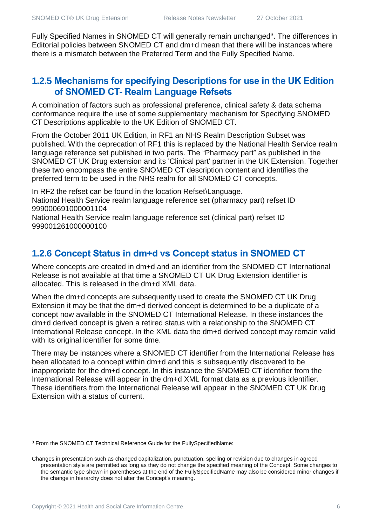Fully Specified Names in SNOMED CT will generally remain unchanged<sup>3</sup>. The differences in Editorial policies between SNOMED CT and dm+d mean that there will be instances where there is a mismatch between the Preferred Term and the Fully Specified Name.

#### **1.2.5 Mechanisms for specifying Descriptions for use in the UK Edition of SNOMED CT- Realm Language Refsets**

A combination of factors such as professional preference, clinical safety & data schema conformance require the use of some supplementary mechanism for Specifying SNOMED CT Descriptions applicable to the UK Edition of SNOMED CT.

From the October 2011 UK Edition, in RF1 an NHS Realm Description Subset was published. With the deprecation of RF1 this is replaced by the National Health Service realm language reference set published in two parts. The "Pharmacy part" as published in the SNOMED CT UK Drug extension and its 'Clinical part' partner in the UK Extension. Together these two encompass the entire SNOMED CT description content and identifies the preferred term to be used in the NHS realm for all SNOMED CT concepts.

In RF2 the refset can be found in the location Refset\Language. National Health Service realm language reference set (pharmacy part) refset ID 999000691000001104

National Health Service realm language reference set (clinical part) refset ID 999001261000000100

#### **1.2.6 Concept Status in dm+d vs Concept status in SNOMED CT**

Where concepts are created in dm+d and an identifier from the SNOMED CT International Release is not available at that time a SNOMED CT UK Drug Extension identifier is allocated. This is released in the dm+d XML data.

When the dm+d concepts are subsequently used to create the SNOMED CT UK Drug Extension it may be that the dm+d derived concept is determined to be a duplicate of a concept now available in the SNOMED CT International Release. In these instances the dm+d derived concept is given a retired status with a relationship to the SNOMED CT International Release concept. In the XML data the dm+d derived concept may remain valid with its original identifier for some time.

There may be instances where a SNOMED CT identifier from the International Release has been allocated to a concept within dm+d and this is subsequently discovered to be inappropriate for the dm+d concept. In this instance the SNOMED CT identifier from the International Release will appear in the dm+d XML format data as a previous identifier. These identifiers from the International Release will appear in the SNOMED CT UK Drug Extension with a status of current.

<sup>3</sup> From the SNOMED CT Technical Reference Guide for the FullySpecifiedName:

Changes in presentation such as changed capitalization, punctuation, spelling or revision due to changes in agreed presentation style are permitted as long as they do not change the specified meaning of the Concept. Some changes to the semantic type shown in parentheses at the end of the FullySpecifiedName may also be considered minor changes if the change in hierarchy does not alter the Concept's meaning.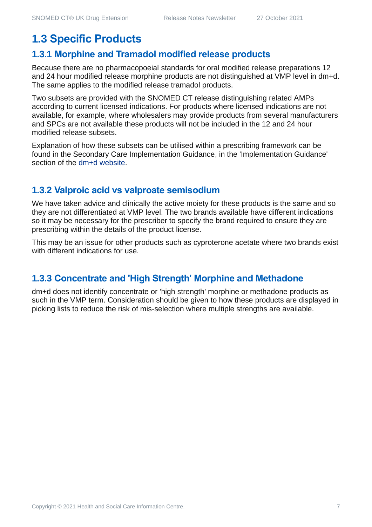## **1.3 Specific Products**

#### **1.3.1 Morphine and Tramadol modified release products**

Because there are no pharmacopoeial standards for oral modified release preparations 12 and 24 hour modified release morphine products are not distinguished at VMP level in dm+d. The same applies to the modified release tramadol products.

Two subsets are provided with the SNOMED CT release distinguishing related AMPs according to current licensed indications. For products where licensed indications are not available, for example, where wholesalers may provide products from several manufacturers and SPCs are not available these products will not be included in the 12 and 24 hour modified release subsets.

Explanation of how these subsets can be utilised within a prescribing framework can be found in the Secondary Care Implementation Guidance, in the 'Implementation Guidance' section of the [dm+d website.](https://www.nhsbsa.nhs.uk/pharmacies-gp-practices-and-appliance-contractors/dictionary-medicines-and-devices-dmd)

#### **1.3.2 Valproic acid vs valproate semisodium**

We have taken advice and clinically the active moiety for these products is the same and so they are not differentiated at VMP level. The two brands available have different indications so it may be necessary for the prescriber to specify the brand required to ensure they are prescribing within the details of the product license.

This may be an issue for other products such as cyproterone acetate where two brands exist with different indications for use.

#### **1.3.3 Concentrate and 'High Strength' Morphine and Methadone**

dm+d does not identify concentrate or 'high strength' morphine or methadone products as such in the VMP term. Consideration should be given to how these products are displayed in picking lists to reduce the risk of mis-selection where multiple strengths are available.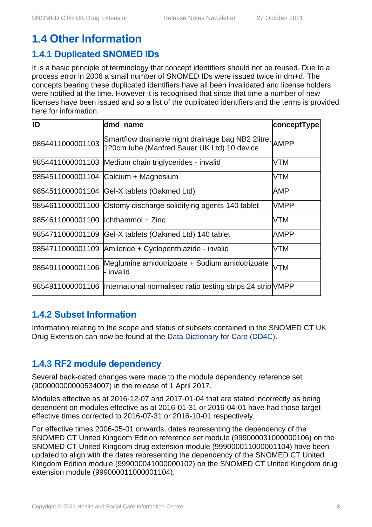## **1.4 Other Information**

#### **1.4.1 Duplicated SNOMED IDs**

It is a basic principle of terminology that concept identifiers should not be reused. Due to a process error in 2006 a small number of SNOMED IDs were issued twice in dm+d. The concepts bearing these duplicated identifiers have all been invalidated and license holders were notified at the time. However it is recognised that since that time a number of new licenses have been issued and so a list of the duplicated identifiers and the terms is provided here for information.

| ID                                  | dmd_name                                                                                               | conceptType |
|-------------------------------------|--------------------------------------------------------------------------------------------------------|-------------|
| 9854411000001103                    | Smartflow drainable night drainage bag NB2 2litre, AMPP<br>120cm tube (Manfred Sauer UK Ltd) 10 device |             |
|                                     | 9854411000001103 Medium chain triglycerides - invalid                                                  | <b>VTM</b>  |
|                                     | 9854511000001104 Calcium + Magnesium                                                                   | <b>VTM</b>  |
|                                     | 9854511000001104 Gel-X tablets (Oakmed Ltd)                                                            | AMP         |
|                                     | 9854611000001100 Ostomy discharge solidifying agents 140 tablet                                        | <b>VMPP</b> |
| 9854611000001100  lchthammol + Zinc |                                                                                                        | <b>VTM</b>  |
| 9854711000001109                    | Gel-X tablets (Oakmed Ltd) 140 tablet                                                                  | <b>AMPP</b> |
|                                     | 9854711000001109 Amiloride + Cyclopenthiazide - invalid                                                | <b>VTM</b>  |
| 9854911000001106                    | Meglumine amidotrizoate + Sodium amidotrizoate<br>- invalid                                            | <b>VTM</b>  |
|                                     | 9854911000001106  International normalised ratio testing strips 24 strip VMPP                          |             |

#### **1.4.2 Subset Information**

Information relating to the scope and status of subsets contained in the SNOMED CT UK Drug Extension can now be found at the [Data Dictionary for Care \(DD4C\).](https://dd4c.digital.nhs.uk/dd4c/)

#### **1.4.3 RF2 module dependency**

Several back-dated changes were made to the module dependency reference set (900000000000534007) in the release of 1 April 2017.

Modules effective as at 2016-12-07 and 2017-01-04 that are stated incorrectly as being dependent on modules effective as at 2016-01-31 or 2016-04-01 have had those target effective times corrected to 2016-07-31 or 2016-10-01 respectively.

For effective times 2006-05-01 onwards, dates representing the dependency of the SNOMED CT United Kingdom Edition reference set module (999000031000000106) on the SNOMED CT United Kingdom drug extension module (999000011000001104) have been updated to align with the dates representing the dependency of the SNOMED CT United Kingdom Edition module (999000041000000102) on the SNOMED CT United Kingdom drug extension module (999000011000001104).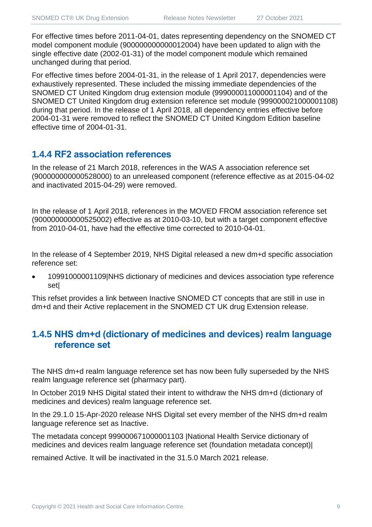For effective times before 2011-04-01, dates representing dependency on the SNOMED CT model component module (900000000000012004) have been updated to align with the single effective date (2002-01-31) of the model component module which remained unchanged during that period.

For effective times before 2004-01-31, in the release of 1 April 2017, dependencies were exhaustively represented. These included the missing immediate dependencies of the SNOMED CT United Kingdom drug extension module (999000011000001104) and of the SNOMED CT United Kingdom drug extension reference set module (999000021000001108) during that period. In the release of 1 April 2018, all dependency entries effective before 2004-01-31 were removed to reflect the SNOMED CT United Kingdom Edition baseline effective time of 2004-01-31.

#### **1.4.4 RF2 association references**

In the release of 21 March 2018, references in the WAS A association reference set (900000000000528000) to an unreleased component (reference effective as at 2015-04-02 and inactivated 2015-04-29) were removed.

In the release of 1 April 2018, references in the MOVED FROM association reference set (900000000000525002) effective as at 2010-03-10, but with a target component effective from 2010-04-01, have had the effective time corrected to 2010-04-01.

In the release of 4 September 2019, NHS Digital released a new dm+d specific association reference set:

• 10991000001109|NHS dictionary of medicines and devices association type reference set|

This refset provides a link between Inactive SNOMED CT concepts that are still in use in dm+d and their Active replacement in the SNOMED CT UK drug Extension release.

#### **1.4.5 NHS dm+d (dictionary of medicines and devices) realm language reference set**

The NHS dm+d realm language reference set has now been fully superseded by the NHS realm language reference set (pharmacy part).

In October 2019 NHS Digital stated their intent to withdraw the NHS dm+d (dictionary of medicines and devices) realm language reference set.

In the 29.1.0 15-Apr-2020 release NHS Digital set every member of the NHS dm+d realm language reference set as Inactive.

The metadata concept 999000671000001103 |National Health Service dictionary of medicines and devices realm language reference set (foundation metadata concept)|

remained Active. It will be inactivated in the 31.5.0 March 2021 release.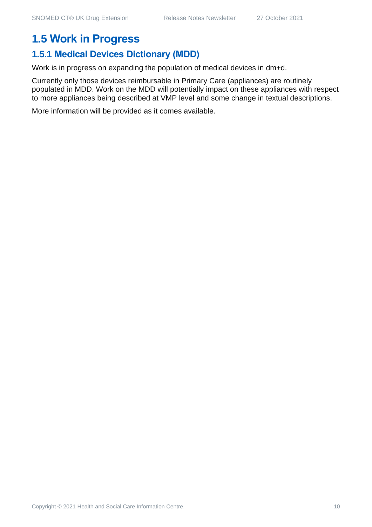## **1.5 Work in Progress**

#### **1.5.1 Medical Devices Dictionary (MDD)**

Work is in progress on expanding the population of medical devices in dm+d.

Currently only those devices reimbursable in Primary Care (appliances) are routinely populated in MDD. Work on the MDD will potentially impact on these appliances with respect to more appliances being described at VMP level and some change in textual descriptions.

More information will be provided as it comes available.